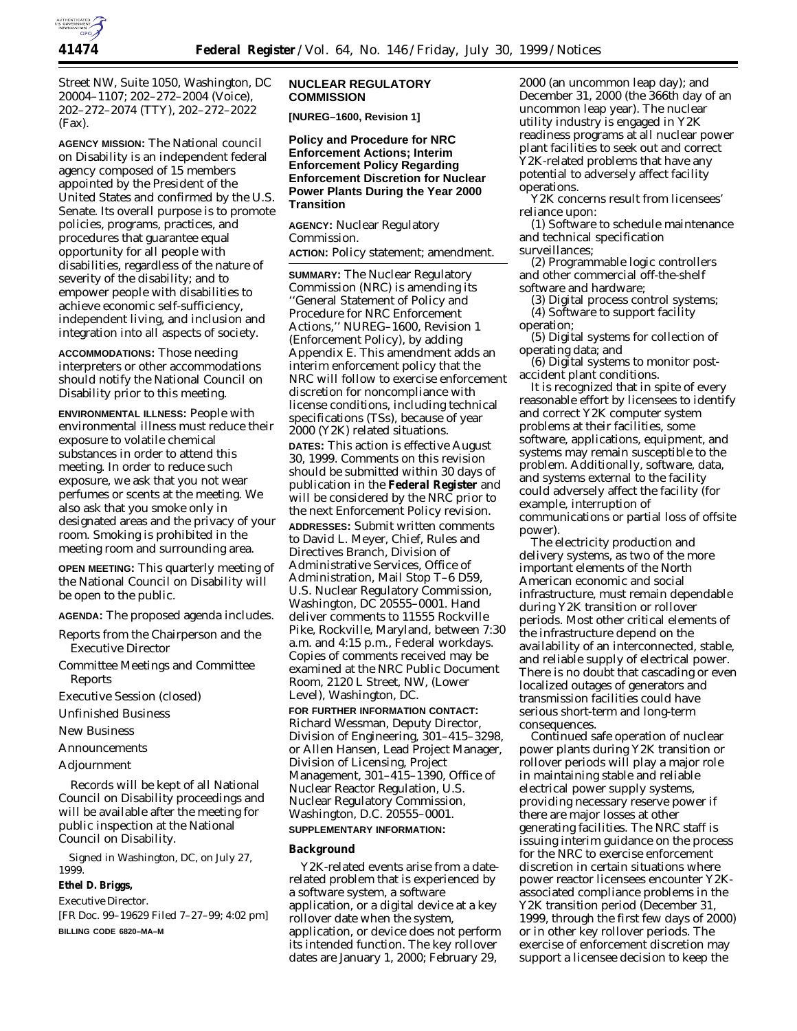

Street NW, Suite 1050, Washington, DC 20004–1107; 202–272–2004 (Voice), 202–272–2074 (TTY), 202–272–2022 (Fax).

**AGENCY MISSION:** The National council on Disability is an independent federal agency composed of 15 members appointed by the President of the United States and confirmed by the U.S. Senate. Its overall purpose is to promote policies, programs, practices, and procedures that guarantee equal opportunity for all people with disabilities, regardless of the nature of severity of the disability; and to empower people with disabilities to achieve economic self-sufficiency, independent living, and inclusion and integration into all aspects of society.

**ACCOMMODATIONS:** Those needing interpreters or other accommodations should notify the National Council on Disability prior to this meeting.

**ENVIRONMENTAL ILLNESS:** People with environmental illness must reduce their exposure to volatile chemical substances in order to attend this meeting. In order to reduce such exposure, we ask that you not wear perfumes or scents at the meeting. We also ask that you smoke only in designated areas and the privacy of your room. Smoking is prohibited in the meeting room and surrounding area.

**OPEN MEETING:** This quarterly meeting of the National Council on Disability will be open to the public.

**AGENDA:** The proposed agenda includes.

Reports from the Chairperson and the Executive Director

- Committee Meetings and Committee Reports
- Executive Session (closed)
- Unfinished Business
- New Business
- Announcements
- Adjournment

Records will be kept of all National Council on Disability proceedings and will be available after the meeting for public inspection at the National Council on Disability.

Signed in Washington, DC, on July 27, 1999.

# **Ethel D. Briggs,**

*Executive Director.*

[FR Doc. 99–19629 Filed 7–27–99; 4:02 pm] **BILLING CODE 6820–MA–M**

# **NUCLEAR REGULATORY COMMISSION**

**[NUREG–1600, Revision 1]**

**Policy and Procedure for NRC Enforcement Actions; Interim Enforcement Policy Regarding Enforcement Discretion for Nuclear Power Plants During the Year 2000 Transition**

**AGENCY:** Nuclear Regulatory Commission. **ACTION:** Policy statement; amendment.

**SUMMARY:** The Nuclear Regulatory Commission (NRC) is amending its ''General Statement of Policy and Procedure for NRC Enforcement Actions,'' NUREG–1600, Revision 1 (Enforcement Policy), by adding Appendix E. This amendment adds an interim enforcement policy that the NRC will follow to exercise enforcement discretion for noncompliance with license conditions, including technical specifications (TSs), because of year 2000 (Y2K) related situations. **DATES:** This action is effective August 30, 1999. Comments on this revision should be submitted within 30 days of publication in the **Federal Register** and will be considered by the NRC prior to the next Enforcement Policy revision. **ADDRESSES:** Submit written comments to David L. Meyer, Chief, Rules and

Directives Branch, Division of Administrative Services, Office of Administration, Mail Stop T–6 D59, U.S. Nuclear Regulatory Commission, Washington, DC 20555–0001. Hand deliver comments to 11555 Rockville Pike, Rockville, Maryland, between 7:30 a.m. and 4:15 p.m., Federal workdays. Copies of comments received may be examined at the NRC Public Document Room, 2120 L Street, NW, (Lower Level), Washington, DC.

**FOR FURTHER INFORMATION CONTACT:** Richard Wessman, Deputy Director, Division of Engineering, 301–415–3298, or Allen Hansen, Lead Project Manager, Division of Licensing, Project Management, 301–415–1390, Office of Nuclear Reactor Regulation, U.S. Nuclear Regulatory Commission, Washington, D.C. 20555–0001.

# **SUPPLEMENTARY INFORMATION:**

# **Background**

Y2K-related events arise from a daterelated problem that is experienced by a software system, a software application, or a digital device at a key rollover date when the system, application, or device does not perform its intended function. The key rollover dates are January 1, 2000; February 29,

2000 (an uncommon leap day); and December 31, 2000 (the 366th day of an uncommon leap year). The nuclear utility industry is engaged in Y2K readiness programs at all nuclear power plant facilities to seek out and correct Y2K-related problems that have any potential to adversely affect facility operations.

Y2K concerns result from licensees' reliance upon:

(1) Software to schedule maintenance and technical specification

surveillances;

(2) Programmable logic controllers and other commercial off-the-shelf software and hardware;

(3) Digital process control systems;

(4) Software to support facility operation;

(5) Digital systems for collection of operating data; and

(6) Digital systems to monitor postaccident plant conditions.

It is recognized that in spite of every reasonable effort by licensees to identify and correct Y2K computer system problems at their facilities, some software, applications, equipment, and systems may remain susceptible to the problem. Additionally, software, data, and systems external to the facility could adversely affect the facility (for example, interruption of communications or partial loss of offsite power).

The electricity production and delivery systems, as two of the more important elements of the North American economic and social infrastructure, must remain dependable during Y2K transition or rollover periods. Most other critical elements of the infrastructure depend on the availability of an interconnected, stable, and reliable supply of electrical power. There is no doubt that cascading or even localized outages of generators and transmission facilities could have serious short-term and long-term consequences.

Continued safe operation of nuclear power plants during Y2K transition or rollover periods will play a major role in maintaining stable and reliable electrical power supply systems, providing necessary reserve power if there are major losses at other generating facilities. The NRC staff is issuing interim guidance on the process for the NRC to exercise enforcement discretion in certain situations where power reactor licensees encounter Y2Kassociated compliance problems in the Y2K transition period (December 31, 1999, through the first few days of 2000) or in other key rollover periods. The exercise of enforcement discretion may support a licensee decision to keep the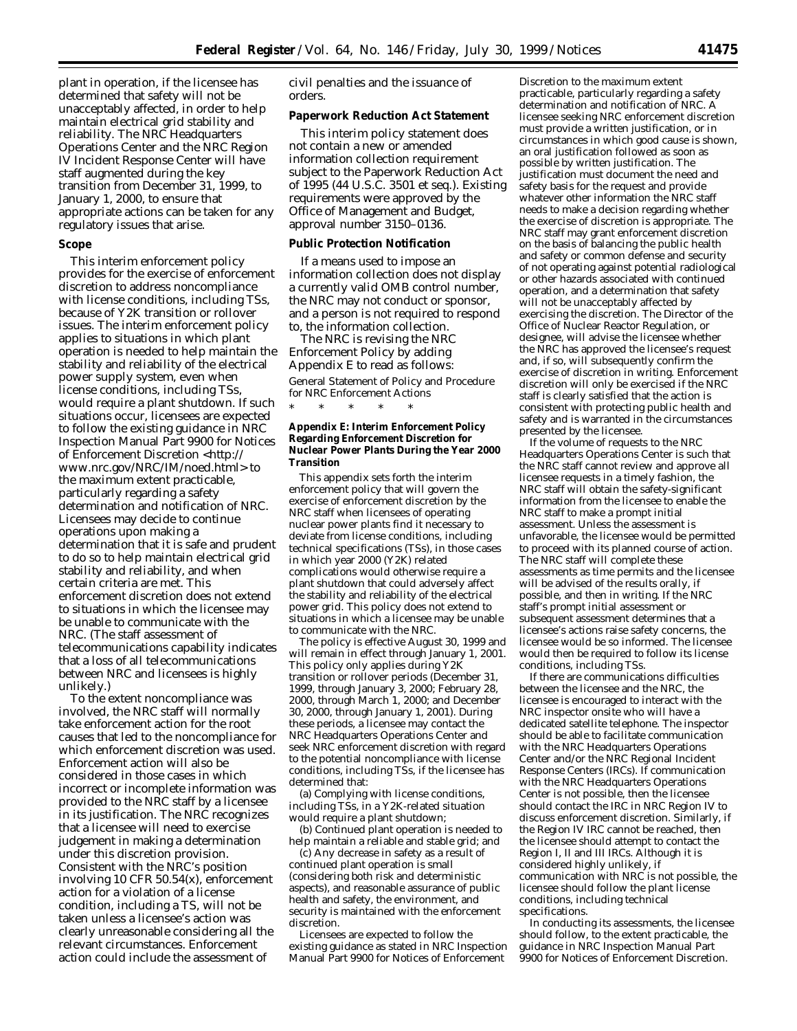plant in operation, if the licensee has determined that safety will not be unacceptably affected, in order to help maintain electrical grid stability and reliability. The NRC Headquarters Operations Center and the NRC Region IV Incident Response Center will have staff augmented during the key transition from December 31, 1999, to January 1, 2000, to ensure that appropriate actions can be taken for any regulatory issues that arise.

#### **Scope**

This interim enforcement policy provides for the exercise of enforcement discretion to address noncompliance with license conditions, including TSs, because of Y2K transition or rollover issues. The interim enforcement policy applies to situations in which plant operation is needed to help maintain the stability and reliability of the electrical power supply system, even when license conditions, including TSs, would require a plant shutdown. If such situations occur, licensees are expected to follow the existing guidance in NRC Inspection Manual Part 9900 for Notices of Enforcement Discretion <http:// www.nrc.gov/NRC/IM/noed.html> to the maximum extent practicable, particularly regarding a safety determination and notification of NRC. Licensees may decide to continue operations upon making a determination that it is safe and prudent to do so to help maintain electrical grid stability and reliability, and when certain criteria are met. This enforcement discretion does not extend to situations in which the licensee may be unable to communicate with the NRC. (The staff assessment of telecommunications capability indicates that a loss of all telecommunications between NRC and licensees is highly unlikely.)

To the extent noncompliance was involved, the NRC staff will normally take enforcement action for the root causes that led to the noncompliance for which enforcement discretion was used. Enforcement action will also be considered in those cases in which incorrect or incomplete information was provided to the NRC staff by a licensee in its justification. The NRC recognizes that a licensee will need to exercise judgement in making a determination under this discretion provision. Consistent with the NRC's position involving 10 CFR 50.54(x), enforcement action for a violation of a license condition, including a TS, will not be taken unless a licensee's action was clearly unreasonable considering all the relevant circumstances. Enforcement action could include the assessment of

civil penalties and the issuance of orders.

## **Paperwork Reduction Act Statement**

This interim policy statement does not contain a new or amended information collection requirement subject to the Paperwork Reduction Act of 1995 (44 U.S.C. 3501 *et seq.*). Existing requirements were approved by the Office of Management and Budget, approval number 3150–0136.

## **Public Protection Notification**

If a means used to impose an information collection does not display a currently valid OMB control number, the NRC may not conduct or sponsor, and a person is not required to respond to, the information collection.

The NRC is revising the NRC Enforcement Policy by adding Appendix E to read as follows: General Statement of Policy and Procedure

for NRC Enforcement Actions \* \* \* \* \*

### **Appendix E: Interim Enforcement Policy Regarding Enforcement Discretion for Nuclear Power Plants During the Year 2000 Transition**

This appendix sets forth the interim enforcement policy that will govern the exercise of enforcement discretion by the NRC staff when licensees of operating nuclear power plants find it necessary to deviate from license conditions, including technical specifications (TSs), in those cases in which year 2000 (Y2K) related complications would otherwise require a plant shutdown that could adversely affect the stability and reliability of the electrical power grid. This policy does not extend to situations in which a licensee may be unable to communicate with the NRC.

The policy is effective August 30, 1999 and will remain in effect through January 1, 2001. This policy only applies during Y2K transition or rollover periods (December 31, 1999, through January 3, 2000; February 28, 2000, through March 1, 2000; and December 30, 2000, through January 1, 2001). During these periods, a licensee may contact the NRC Headquarters Operations Center and seek NRC enforcement discretion with regard to the potential noncompliance with license conditions, including TSs, if the licensee has determined that:

(a) Complying with license conditions, including TSs, in a Y2K-related situation would require a plant shutdown;

(b) Continued plant operation is needed to help maintain a reliable and stable grid; and

(c) Any decrease in safety as a result of continued plant operation is small (considering both risk and deterministic aspects), and reasonable assurance of public health and safety, the environment, and security is maintained with the enforcement discretion.

Licensees are expected to follow the existing guidance as stated in NRC Inspection Manual Part 9900 for Notices of Enforcement

Discretion to the maximum extent practicable, particularly regarding a safety determination and notification of NRC. A licensee seeking NRC enforcement discretion must provide a written justification, or in circumstances in which good cause is shown, an oral justification followed as soon as possible by written justification. The justification must document the need and safety basis for the request and provide whatever other information the NRC staff needs to make a decision regarding whether the exercise of discretion is appropriate. The NRC staff may grant enforcement discretion on the basis of balancing the public health and safety or common defense and security of not operating against potential radiological or other hazards associated with continued operation, and a determination that safety will not be unacceptably affected by exercising the discretion. The Director of the Office of Nuclear Reactor Regulation, or designee, will advise the licensee whether the NRC has approved the licensee's request and, if so, will subsequently confirm the exercise of discretion in writing. Enforcement discretion will only be exercised if the NRC staff is clearly satisfied that the action is consistent with protecting public health and safety and is warranted in the circumstances presented by the licensee.

If the volume of requests to the NRC Headquarters Operations Center is such that the NRC staff cannot review and approve all licensee requests in a timely fashion, the NRC staff will obtain the safety-significant information from the licensee to enable the NRC staff to make a prompt initial assessment. Unless the assessment is unfavorable, the licensee would be permitted to proceed with its planned course of action. The NRC staff will complete these assessments as time permits and the licensee will be advised of the results orally, if possible, and then in writing. If the NRC staff's prompt initial assessment or subsequent assessment determines that a licensee's actions raise safety concerns, the licensee would be so informed. The licensee would then be required to follow its license conditions, including TSs.

If there are communications difficulties between the licensee and the NRC, the licensee is encouraged to interact with the NRC inspector onsite who will have a dedicated satellite telephone. The inspector should be able to facilitate communication with the NRC Headquarters Operations Center and/or the NRC Regional Incident Response Centers (IRCs). If communication with the NRC Headquarters Operations Center is not possible, then the licensee should contact the IRC in NRC Region IV to discuss enforcement discretion. Similarly, if the Region IV IRC cannot be reached, then the licensee should attempt to contact the Region I, II and III IRCs. Although it is considered highly unlikely, if communication with NRC is not possible, the licensee should follow the plant license conditions, including technical specifications.

In conducting its assessments, the licensee should follow, to the extent practicable, the guidance in NRC Inspection Manual Part 9900 for Notices of Enforcement Discretion.